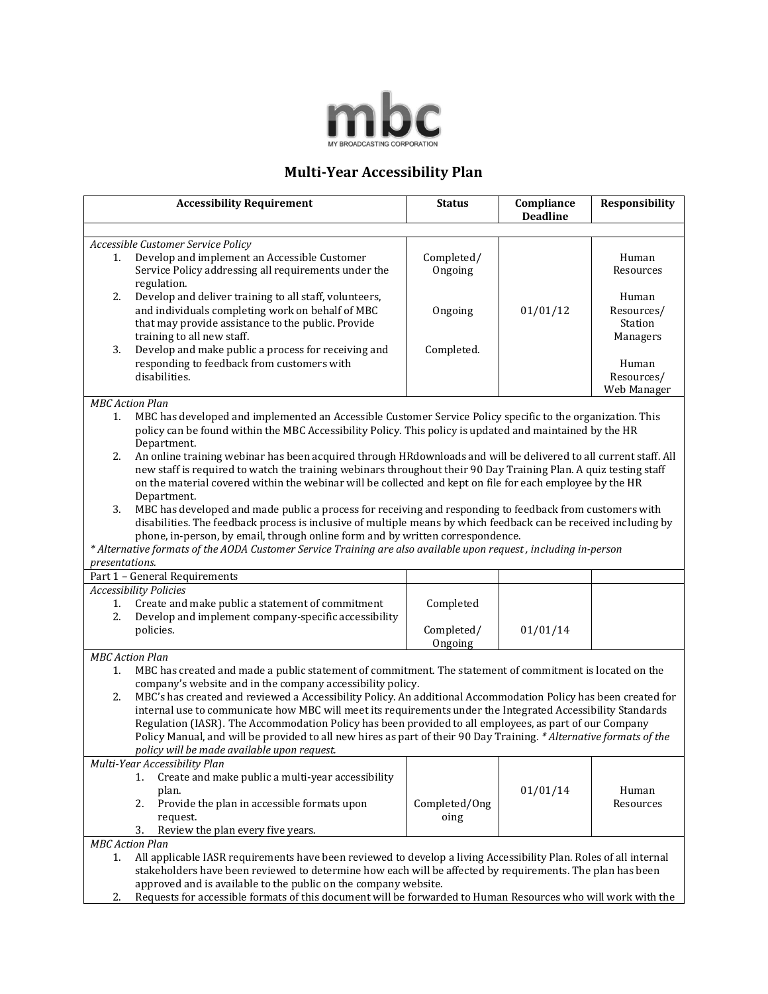

## **Multi-Year Accessibility Plan**

|                                                                                                           | <b>Accessibility Requirement</b>                                                                                                                                                | <b>Status</b>         | Compliance<br><b>Deadline</b> | <b>Responsibility</b> |  |  |
|-----------------------------------------------------------------------------------------------------------|---------------------------------------------------------------------------------------------------------------------------------------------------------------------------------|-----------------------|-------------------------------|-----------------------|--|--|
|                                                                                                           |                                                                                                                                                                                 |                       |                               |                       |  |  |
| 1.                                                                                                        | Accessible Customer Service Policy<br>Develop and implement an Accessible Customer                                                                                              | Completed/            |                               | Human                 |  |  |
|                                                                                                           | Service Policy addressing all requirements under the<br>regulation.                                                                                                             | Ongoing               |                               | Resources             |  |  |
| 2.                                                                                                        | Develop and deliver training to all staff, volunteers,                                                                                                                          |                       |                               | Human                 |  |  |
|                                                                                                           | and individuals completing work on behalf of MBC<br>that may provide assistance to the public. Provide                                                                          | Ongoing               | 01/01/12                      | Resources/<br>Station |  |  |
|                                                                                                           | training to all new staff.                                                                                                                                                      |                       |                               | Managers              |  |  |
| 3.                                                                                                        | Develop and make public a process for receiving and                                                                                                                             | Completed.            |                               |                       |  |  |
|                                                                                                           | responding to feedback from customers with<br>disabilities.                                                                                                                     |                       |                               | Human<br>Resources/   |  |  |
|                                                                                                           |                                                                                                                                                                                 |                       |                               | Web Manager           |  |  |
|                                                                                                           | <b>MBC</b> Action Plan                                                                                                                                                          |                       |                               |                       |  |  |
| 1.                                                                                                        | MBC has developed and implemented an Accessible Customer Service Policy specific to the organization. This                                                                      |                       |                               |                       |  |  |
|                                                                                                           | policy can be found within the MBC Accessibility Policy. This policy is updated and maintained by the HR                                                                        |                       |                               |                       |  |  |
| 2.                                                                                                        | Department.<br>An online training webinar has been acquired through HRdownloads and will be delivered to all current staff. All                                                 |                       |                               |                       |  |  |
|                                                                                                           | new staff is required to watch the training webinars throughout their 90 Day Training Plan. A quiz testing staff                                                                |                       |                               |                       |  |  |
|                                                                                                           | on the material covered within the webinar will be collected and kept on file for each employee by the HR                                                                       |                       |                               |                       |  |  |
| 3.                                                                                                        | Department.<br>MBC has developed and made public a process for receiving and responding to feedback from customers with                                                         |                       |                               |                       |  |  |
|                                                                                                           | disabilities. The feedback process is inclusive of multiple means by which feedback can be received including by                                                                |                       |                               |                       |  |  |
|                                                                                                           | phone, in-person, by email, through online form and by written correspondence.                                                                                                  |                       |                               |                       |  |  |
|                                                                                                           | * Alternative formats of the AODA Customer Service Training are also available upon request, including in-person                                                                |                       |                               |                       |  |  |
| presentations.                                                                                            | Part 1 - General Requirements                                                                                                                                                   |                       |                               |                       |  |  |
|                                                                                                           | <b>Accessibility Policies</b>                                                                                                                                                   |                       |                               |                       |  |  |
| 1.                                                                                                        | Create and make public a statement of commitment                                                                                                                                | Completed             |                               |                       |  |  |
| 2.                                                                                                        | Develop and implement company-specific accessibility                                                                                                                            |                       |                               |                       |  |  |
|                                                                                                           | policies.                                                                                                                                                                       | Completed/<br>Ongoing | 01/01/14                      |                       |  |  |
|                                                                                                           | <b>MBC</b> Action Plan                                                                                                                                                          |                       |                               |                       |  |  |
| 1.                                                                                                        | MBC has created and made a public statement of commitment. The statement of commitment is located on the                                                                        |                       |                               |                       |  |  |
| 2.                                                                                                        | company's website and in the company accessibility policy.<br>MBC's has created and reviewed a Accessibility Policy. An additional Accommodation Policy has been created for    |                       |                               |                       |  |  |
|                                                                                                           | internal use to communicate how MBC will meet its requirements under the Integrated Accessibility Standards                                                                     |                       |                               |                       |  |  |
|                                                                                                           | Regulation (IASR). The Accommodation Policy has been provided to all employees, as part of our Company                                                                          |                       |                               |                       |  |  |
|                                                                                                           | Policy Manual, and will be provided to all new hires as part of their 90 Day Training. * Alternative formats of the                                                             |                       |                               |                       |  |  |
| policy will be made available upon request.<br>Multi-Year Accessibility Plan                              |                                                                                                                                                                                 |                       |                               |                       |  |  |
|                                                                                                           | Create and make public a multi-year accessibility<br>1.                                                                                                                         |                       |                               |                       |  |  |
|                                                                                                           | plan.                                                                                                                                                                           |                       | 01/01/14                      | Human                 |  |  |
|                                                                                                           | Provide the plan in accessible formats upon<br>2.                                                                                                                               | Completed/Ong         |                               | Resources             |  |  |
|                                                                                                           | request.<br>Review the plan every five years.                                                                                                                                   | oing                  |                               |                       |  |  |
| 3.<br><b>MBC</b> Action Plan                                                                              |                                                                                                                                                                                 |                       |                               |                       |  |  |
| 1.                                                                                                        | All applicable IASR requirements have been reviewed to develop a living Accessibility Plan. Roles of all internal                                                               |                       |                               |                       |  |  |
| stakeholders have been reviewed to determine how each will be affected by requirements. The plan has been |                                                                                                                                                                                 |                       |                               |                       |  |  |
| 2.                                                                                                        | approved and is available to the public on the company website.<br>Requests for accessible formats of this document will be forwarded to Human Resources who will work with the |                       |                               |                       |  |  |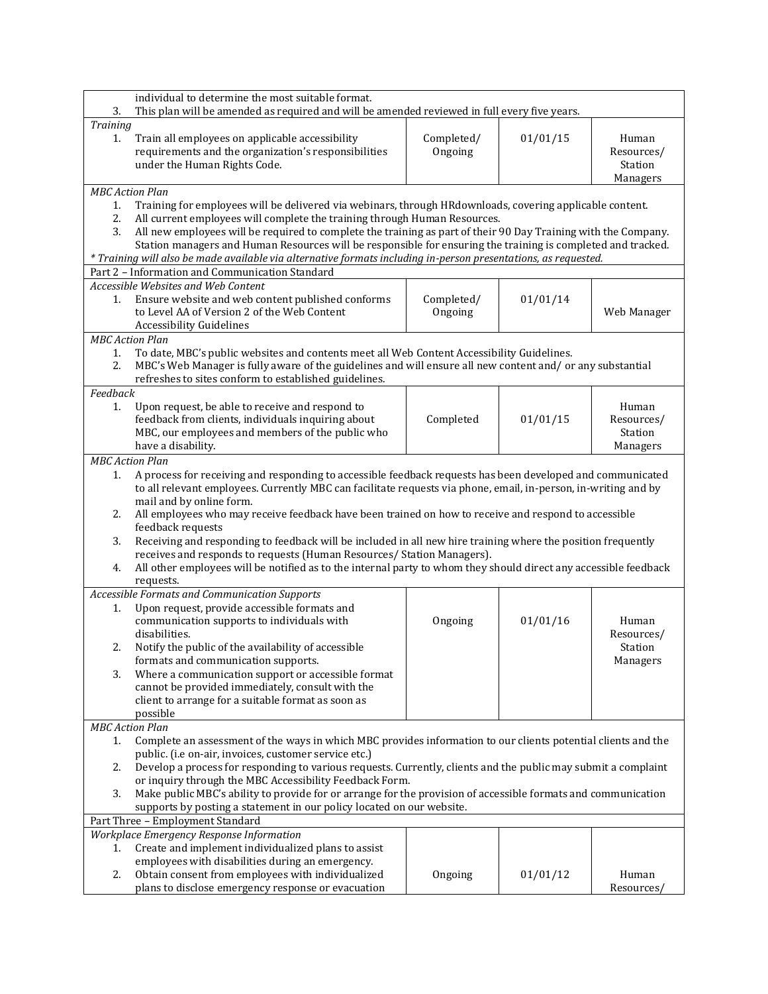|                                                                                                                     | individual to determine the most suitable format.                                                                |            |          |             |  |
|---------------------------------------------------------------------------------------------------------------------|------------------------------------------------------------------------------------------------------------------|------------|----------|-------------|--|
| 3.                                                                                                                  | This plan will be amended as required and will be amended reviewed in full every five years.                     |            |          |             |  |
| Training                                                                                                            |                                                                                                                  |            |          |             |  |
| 1.                                                                                                                  | Train all employees on applicable accessibility                                                                  | Completed/ | 01/01/15 | Human       |  |
|                                                                                                                     | requirements and the organization's responsibilities                                                             | Ongoing    |          | Resources/  |  |
|                                                                                                                     | under the Human Rights Code.                                                                                     |            |          | Station     |  |
|                                                                                                                     |                                                                                                                  |            |          | Managers    |  |
|                                                                                                                     | <b>MBC</b> Action Plan                                                                                           |            |          |             |  |
| 1.                                                                                                                  | Training for employees will be delivered via webinars, through HRdownloads, covering applicable content.         |            |          |             |  |
| 2.                                                                                                                  | All current employees will complete the training through Human Resources.                                        |            |          |             |  |
| 3.                                                                                                                  | All new employees will be required to complete the training as part of their 90 Day Training with the Company.   |            |          |             |  |
|                                                                                                                     | Station managers and Human Resources will be responsible for ensuring the training is completed and tracked.     |            |          |             |  |
|                                                                                                                     | * Training will also be made available via alternative formats including in-person presentations, as requested.  |            |          |             |  |
|                                                                                                                     | Part 2 - Information and Communication Standard                                                                  |            |          |             |  |
|                                                                                                                     | Accessible Websites and Web Content                                                                              |            |          |             |  |
| 1.                                                                                                                  | Ensure website and web content published conforms                                                                | Completed/ | 01/01/14 |             |  |
|                                                                                                                     | to Level AA of Version 2 of the Web Content                                                                      | Ongoing    |          | Web Manager |  |
|                                                                                                                     | <b>Accessibility Guidelines</b>                                                                                  |            |          |             |  |
|                                                                                                                     | <b>MBC</b> Action Plan                                                                                           |            |          |             |  |
| 1.                                                                                                                  | To date, MBC's public websites and contents meet all Web Content Accessibility Guidelines.                       |            |          |             |  |
| 2.                                                                                                                  | MBC's Web Manager is fully aware of the guidelines and will ensure all new content and/ or any substantial       |            |          |             |  |
|                                                                                                                     | refreshes to sites conform to established guidelines.                                                            |            |          |             |  |
| Feedback                                                                                                            |                                                                                                                  |            |          |             |  |
| 1.                                                                                                                  | Upon request, be able to receive and respond to                                                                  |            |          | Human       |  |
|                                                                                                                     | feedback from clients, individuals inquiring about                                                               | Completed  | 01/01/15 | Resources/  |  |
|                                                                                                                     | MBC, our employees and members of the public who                                                                 |            |          | Station     |  |
|                                                                                                                     | have a disability.                                                                                               |            |          | Managers    |  |
|                                                                                                                     | <b>MBC</b> Action Plan                                                                                           |            |          |             |  |
| 1.                                                                                                                  | A process for receiving and responding to accessible feedback requests has been developed and communicated       |            |          |             |  |
|                                                                                                                     | to all relevant employees. Currently MBC can facilitate requests via phone, email, in-person, in-writing and by  |            |          |             |  |
|                                                                                                                     | mail and by online form.                                                                                         |            |          |             |  |
| 2.                                                                                                                  | All employees who may receive feedback have been trained on how to receive and respond to accessible             |            |          |             |  |
|                                                                                                                     | feedback requests                                                                                                |            |          |             |  |
| 3.                                                                                                                  | Receiving and responding to feedback will be included in all new hire training where the position frequently     |            |          |             |  |
|                                                                                                                     | receives and responds to requests (Human Resources/ Station Managers).                                           |            |          |             |  |
| 4.                                                                                                                  | All other employees will be notified as to the internal party to whom they should direct any accessible feedback |            |          |             |  |
|                                                                                                                     | requests.                                                                                                        |            |          |             |  |
|                                                                                                                     | Accessible Formats and Communication Supports                                                                    |            |          |             |  |
| 1.                                                                                                                  | Upon request, provide accessible formats and                                                                     |            |          |             |  |
|                                                                                                                     | communication supports to individuals with                                                                       | Ongoing    | 01/01/16 | Human       |  |
|                                                                                                                     | disabilities.                                                                                                    |            |          | Resources/  |  |
| 2.                                                                                                                  | Notify the public of the availability of accessible                                                              |            |          | Station     |  |
|                                                                                                                     | formats and communication supports.                                                                              |            |          | Managers    |  |
| 3.                                                                                                                  | Where a communication support or accessible format                                                               |            |          |             |  |
|                                                                                                                     | cannot be provided immediately, consult with the                                                                 |            |          |             |  |
|                                                                                                                     | client to arrange for a suitable format as soon as                                                               |            |          |             |  |
|                                                                                                                     | possible                                                                                                         |            |          |             |  |
|                                                                                                                     | <b>MBC</b> Action Plan                                                                                           |            |          |             |  |
| Complete an assessment of the ways in which MBC provides information to our clients potential clients and the<br>1. |                                                                                                                  |            |          |             |  |
| public. (i.e on-air, invoices, customer service etc.)                                                               |                                                                                                                  |            |          |             |  |
| 2.                                                                                                                  | Develop a process for responding to various requests. Currently, clients and the public may submit a complaint   |            |          |             |  |
|                                                                                                                     | or inquiry through the MBC Accessibility Feedback Form.                                                          |            |          |             |  |
| 3.                                                                                                                  | Make public MBC's ability to provide for or arrange for the provision of accessible formats and communication    |            |          |             |  |
|                                                                                                                     | supports by posting a statement in our policy located on our website.                                            |            |          |             |  |
| Part Three - Employment Standard                                                                                    |                                                                                                                  |            |          |             |  |
|                                                                                                                     | <b>Workplace Emergency Response Information</b>                                                                  |            |          |             |  |
| 1.                                                                                                                  | Create and implement individualized plans to assist                                                              |            |          |             |  |
|                                                                                                                     | employees with disabilities during an emergency.                                                                 |            |          |             |  |
| 2.                                                                                                                  | Obtain consent from employees with individualized                                                                | Ongoing    | 01/01/12 | Human       |  |
|                                                                                                                     | plans to disclose emergency response or evacuation                                                               |            |          | Resources   |  |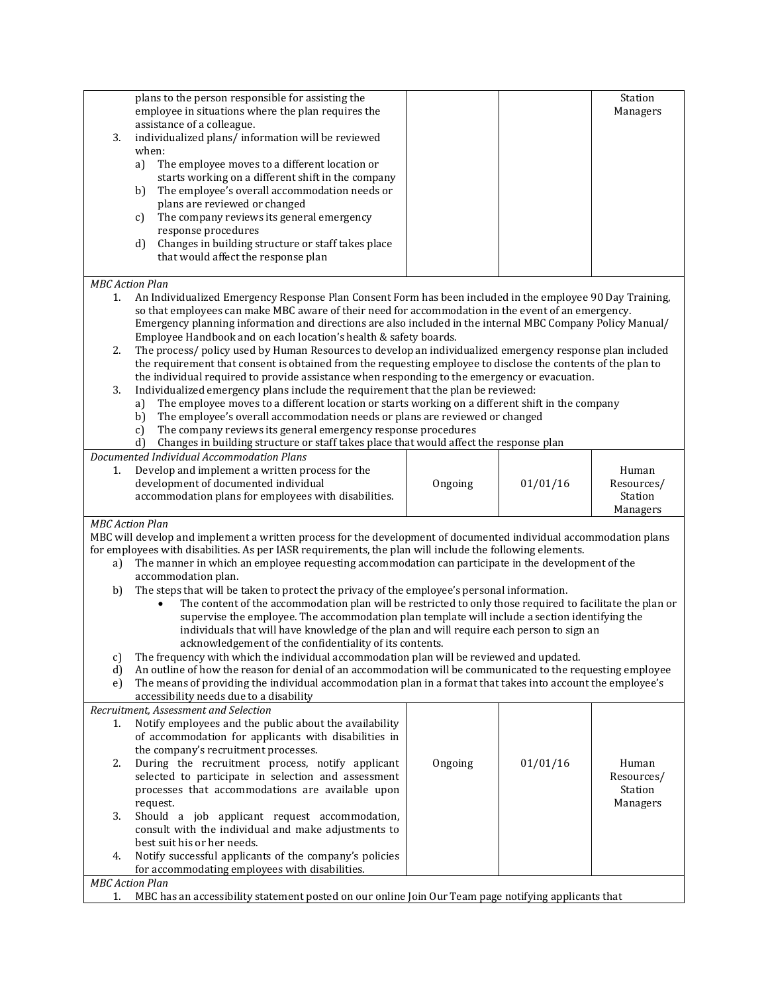|                                                | plans to the person responsible for assisting the                                                                                                                                                                             |         |          | Station             |  |  |
|------------------------------------------------|-------------------------------------------------------------------------------------------------------------------------------------------------------------------------------------------------------------------------------|---------|----------|---------------------|--|--|
|                                                | employee in situations where the plan requires the                                                                                                                                                                            |         |          | Managers            |  |  |
|                                                | assistance of a colleague.                                                                                                                                                                                                    |         |          |                     |  |  |
| 3.                                             | individualized plans/ information will be reviewed                                                                                                                                                                            |         |          |                     |  |  |
|                                                | when:                                                                                                                                                                                                                         |         |          |                     |  |  |
|                                                | The employee moves to a different location or<br>a)<br>starts working on a different shift in the company                                                                                                                     |         |          |                     |  |  |
|                                                | The employee's overall accommodation needs or<br>b)                                                                                                                                                                           |         |          |                     |  |  |
|                                                | plans are reviewed or changed                                                                                                                                                                                                 |         |          |                     |  |  |
|                                                | The company reviews its general emergency<br>$\mathbf{c}$                                                                                                                                                                     |         |          |                     |  |  |
|                                                | response procedures                                                                                                                                                                                                           |         |          |                     |  |  |
|                                                | Changes in building structure or staff takes place<br>d)                                                                                                                                                                      |         |          |                     |  |  |
|                                                | that would affect the response plan                                                                                                                                                                                           |         |          |                     |  |  |
|                                                |                                                                                                                                                                                                                               |         |          |                     |  |  |
| 1.                                             | <b>MBC</b> Action Plan<br>An Individualized Emergency Response Plan Consent Form has been included in the employee 90 Day Training,                                                                                           |         |          |                     |  |  |
|                                                | so that employees can make MBC aware of their need for accommodation in the event of an emergency.                                                                                                                            |         |          |                     |  |  |
|                                                | Emergency planning information and directions are also included in the internal MBC Company Policy Manual/                                                                                                                    |         |          |                     |  |  |
|                                                | Employee Handbook and on each location's health & safety boards.                                                                                                                                                              |         |          |                     |  |  |
| 2.                                             | The process/policy used by Human Resources to develop an individualized emergency response plan included                                                                                                                      |         |          |                     |  |  |
|                                                | the requirement that consent is obtained from the requesting employee to disclose the contents of the plan to                                                                                                                 |         |          |                     |  |  |
|                                                | the individual required to provide assistance when responding to the emergency or evacuation.                                                                                                                                 |         |          |                     |  |  |
| 3.                                             | Individualized emergency plans include the requirement that the plan be reviewed:<br>The employee moves to a different location or starts working on a different shift in the company                                         |         |          |                     |  |  |
|                                                | a)<br>The employee's overall accommodation needs or plans are reviewed or changed<br>b)                                                                                                                                       |         |          |                     |  |  |
|                                                | The company reviews its general emergency response procedures<br>$\mathbf{c}$                                                                                                                                                 |         |          |                     |  |  |
|                                                | Changes in building structure or staff takes place that would affect the response plan<br>d)                                                                                                                                  |         |          |                     |  |  |
|                                                | Documented Individual Accommodation Plans                                                                                                                                                                                     |         |          |                     |  |  |
| 1.                                             | Develop and implement a written process for the                                                                                                                                                                               |         |          | Human               |  |  |
|                                                | development of documented individual                                                                                                                                                                                          | Ongoing | 01/01/16 | Resources/          |  |  |
|                                                | accommodation plans for employees with disabilities.                                                                                                                                                                          |         |          | Station             |  |  |
|                                                |                                                                                                                                                                                                                               |         |          | Managers            |  |  |
|                                                | <b>MBC</b> Action Plan                                                                                                                                                                                                        |         |          |                     |  |  |
|                                                | MBC will develop and implement a written process for the development of documented individual accommodation plans<br>for employees with disabilities. As per IASR requirements, the plan will include the following elements. |         |          |                     |  |  |
| a)                                             | The manner in which an employee requesting accommodation can participate in the development of the                                                                                                                            |         |          |                     |  |  |
|                                                | accommodation plan.                                                                                                                                                                                                           |         |          |                     |  |  |
| b)                                             | The steps that will be taken to protect the privacy of the employee's personal information.                                                                                                                                   |         |          |                     |  |  |
|                                                | The content of the accommodation plan will be restricted to only those required to facilitate the plan or<br>$\bullet$                                                                                                        |         |          |                     |  |  |
|                                                | supervise the employee. The accommodation plan template will include a section identifying the                                                                                                                                |         |          |                     |  |  |
|                                                | individuals that will have knowledge of the plan and will require each person to sign an                                                                                                                                      |         |          |                     |  |  |
|                                                | acknowledgement of the confidentiality of its contents.                                                                                                                                                                       |         |          |                     |  |  |
| $\mathcal{C}$<br>d)                            | The frequency with which the individual accommodation plan will be reviewed and updated.<br>An outline of how the reason for denial of an accommodation will be communicated to the requesting employee                       |         |          |                     |  |  |
| e)                                             | The means of providing the individual accommodation plan in a format that takes into account the employee's                                                                                                                   |         |          |                     |  |  |
|                                                | accessibility needs due to a disability                                                                                                                                                                                       |         |          |                     |  |  |
|                                                | Recruitment, Assessment and Selection                                                                                                                                                                                         |         |          |                     |  |  |
| 1.                                             | Notify employees and the public about the availability                                                                                                                                                                        |         |          |                     |  |  |
|                                                | of accommodation for applicants with disabilities in                                                                                                                                                                          |         |          |                     |  |  |
|                                                | the company's recruitment processes.                                                                                                                                                                                          |         |          |                     |  |  |
| 2.                                             | During the recruitment process, notify applicant<br>selected to participate in selection and assessment                                                                                                                       | Ongoing | 01/01/16 | Human<br>Resources/ |  |  |
|                                                | processes that accommodations are available upon                                                                                                                                                                              |         |          | Station             |  |  |
|                                                | request.                                                                                                                                                                                                                      |         |          | Managers            |  |  |
| 3.                                             | Should a job applicant request accommodation,                                                                                                                                                                                 |         |          |                     |  |  |
|                                                | consult with the individual and make adjustments to                                                                                                                                                                           |         |          |                     |  |  |
|                                                | best suit his or her needs.                                                                                                                                                                                                   |         |          |                     |  |  |
| 4.                                             | Notify successful applicants of the company's policies                                                                                                                                                                        |         |          |                     |  |  |
| for accommodating employees with disabilities. |                                                                                                                                                                                                                               |         |          |                     |  |  |
|                                                | <b>MBC</b> Action Plan                                                                                                                                                                                                        |         |          |                     |  |  |
|                                                | MBC has an accessibility statement posted on our online Join Our Team page notifying applicants that<br>1.                                                                                                                    |         |          |                     |  |  |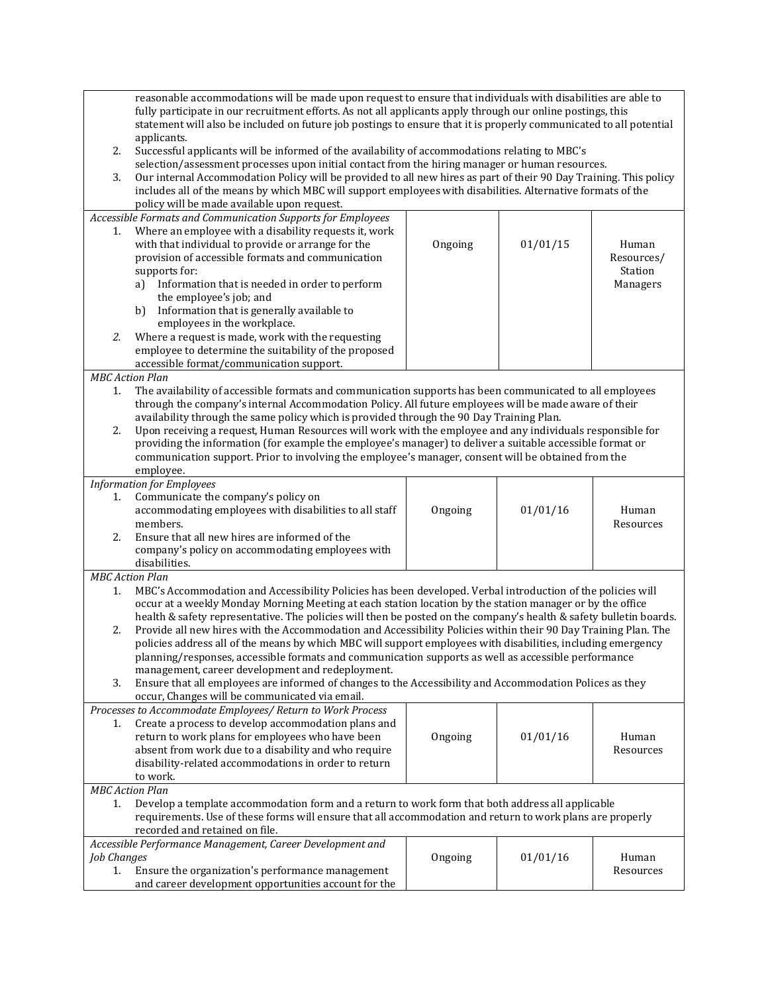| reasonable accommodations will be made upon request to ensure that individuals with disabilities are able to<br>fully participate in our recruitment efforts. As not all applicants apply through our online postings, this |                                                                                                                                                                                                                                  |         |          |                       |
|-----------------------------------------------------------------------------------------------------------------------------------------------------------------------------------------------------------------------------|----------------------------------------------------------------------------------------------------------------------------------------------------------------------------------------------------------------------------------|---------|----------|-----------------------|
|                                                                                                                                                                                                                             | statement will also be included on future job postings to ensure that it is properly communicated to all potential                                                                                                               |         |          |                       |
| 2.                                                                                                                                                                                                                          | applicants.<br>Successful applicants will be informed of the availability of accommodations relating to MBC's                                                                                                                    |         |          |                       |
|                                                                                                                                                                                                                             | selection/assessment processes upon initial contact from the hiring manager or human resources.                                                                                                                                  |         |          |                       |
| 3.                                                                                                                                                                                                                          | Our internal Accommodation Policy will be provided to all new hires as part of their 90 Day Training. This policy<br>includes all of the means by which MBC will support employees with disabilities. Alternative formats of the |         |          |                       |
|                                                                                                                                                                                                                             | policy will be made available upon request.                                                                                                                                                                                      |         |          |                       |
|                                                                                                                                                                                                                             | Accessible Formats and Communication Supports for Employees                                                                                                                                                                      |         |          |                       |
| 1.                                                                                                                                                                                                                          | Where an employee with a disability requests it, work                                                                                                                                                                            |         |          |                       |
|                                                                                                                                                                                                                             | with that individual to provide or arrange for the<br>provision of accessible formats and communication                                                                                                                          | Ongoing | 01/01/15 | Human                 |
|                                                                                                                                                                                                                             | supports for:                                                                                                                                                                                                                    |         |          | Resources/<br>Station |
|                                                                                                                                                                                                                             | Information that is needed in order to perform<br>a)                                                                                                                                                                             |         |          | Managers              |
|                                                                                                                                                                                                                             | the employee's job; and                                                                                                                                                                                                          |         |          |                       |
|                                                                                                                                                                                                                             | Information that is generally available to<br>b)                                                                                                                                                                                 |         |          |                       |
|                                                                                                                                                                                                                             | employees in the workplace.                                                                                                                                                                                                      |         |          |                       |
| 2.                                                                                                                                                                                                                          | Where a request is made, work with the requesting<br>employee to determine the suitability of the proposed                                                                                                                       |         |          |                       |
|                                                                                                                                                                                                                             | accessible format/communication support.                                                                                                                                                                                         |         |          |                       |
| <b>MBC</b> Action Plan                                                                                                                                                                                                      |                                                                                                                                                                                                                                  |         |          |                       |
| 1.                                                                                                                                                                                                                          | The availability of accessible formats and communication supports has been communicated to all employees                                                                                                                         |         |          |                       |
|                                                                                                                                                                                                                             | through the company's internal Accommodation Policy. All future employees will be made aware of their                                                                                                                            |         |          |                       |
| 2.                                                                                                                                                                                                                          | availability through the same policy which is provided through the 90 Day Training Plan.<br>Upon receiving a request, Human Resources will work with the employee and any individuals responsible for                            |         |          |                       |
|                                                                                                                                                                                                                             | providing the information (for example the employee's manager) to deliver a suitable accessible format or                                                                                                                        |         |          |                       |
|                                                                                                                                                                                                                             | communication support. Prior to involving the employee's manager, consent will be obtained from the                                                                                                                              |         |          |                       |
|                                                                                                                                                                                                                             | employee.                                                                                                                                                                                                                        |         |          |                       |
|                                                                                                                                                                                                                             | <b>Information for Employees</b>                                                                                                                                                                                                 |         |          |                       |
| 1.                                                                                                                                                                                                                          | Communicate the company's policy on<br>accommodating employees with disabilities to all staff                                                                                                                                    | Ongoing | 01/01/16 | Human                 |
|                                                                                                                                                                                                                             | members.                                                                                                                                                                                                                         |         |          | Resources             |
| 2.                                                                                                                                                                                                                          | Ensure that all new hires are informed of the                                                                                                                                                                                    |         |          |                       |
|                                                                                                                                                                                                                             | company's policy on accommodating employees with                                                                                                                                                                                 |         |          |                       |
|                                                                                                                                                                                                                             | disabilities.                                                                                                                                                                                                                    |         |          |                       |
| <b>MBC</b> Action Plan<br>1.                                                                                                                                                                                                | MBC's Accommodation and Accessibility Policies has been developed. Verbal introduction of the policies will                                                                                                                      |         |          |                       |
|                                                                                                                                                                                                                             | occur at a weekly Monday Morning Meeting at each station location by the station manager or by the office                                                                                                                        |         |          |                       |
|                                                                                                                                                                                                                             | health & safety representative. The policies will then be posted on the company's health & safety bulletin boards.                                                                                                               |         |          |                       |
| 2.                                                                                                                                                                                                                          | Provide all new hires with the Accommodation and Accessibility Policies within their 90 Day Training Plan. The                                                                                                                   |         |          |                       |
|                                                                                                                                                                                                                             | policies address all of the means by which MBC will support employees with disabilities, including emergency                                                                                                                     |         |          |                       |
|                                                                                                                                                                                                                             | planning/responses, accessible formats and communication supports as well as accessible performance<br>management, career development and redeployment.                                                                          |         |          |                       |
| 3.                                                                                                                                                                                                                          | Ensure that all employees are informed of changes to the Accessibility and Accommodation Polices as they                                                                                                                         |         |          |                       |
|                                                                                                                                                                                                                             | occur, Changes will be communicated via email.                                                                                                                                                                                   |         |          |                       |
|                                                                                                                                                                                                                             | Processes to Accommodate Employees/ Return to Work Process                                                                                                                                                                       |         |          |                       |
| 1.                                                                                                                                                                                                                          | Create a process to develop accommodation plans and                                                                                                                                                                              |         |          |                       |
|                                                                                                                                                                                                                             | return to work plans for employees who have been                                                                                                                                                                                 | Ongoing | 01/01/16 | Human                 |
|                                                                                                                                                                                                                             | absent from work due to a disability and who require<br>disability-related accommodations in order to return                                                                                                                     |         |          | Resources             |
|                                                                                                                                                                                                                             | to work.                                                                                                                                                                                                                         |         |          |                       |
| <b>MBC</b> Action Plan                                                                                                                                                                                                      |                                                                                                                                                                                                                                  |         |          |                       |
| Develop a template accommodation form and a return to work form that both address all applicable<br>1.                                                                                                                      |                                                                                                                                                                                                                                  |         |          |                       |
| requirements. Use of these forms will ensure that all accommodation and return to work plans are properly                                                                                                                   |                                                                                                                                                                                                                                  |         |          |                       |
| recorded and retained on file.                                                                                                                                                                                              |                                                                                                                                                                                                                                  |         |          |                       |
| <b>Job Changes</b>                                                                                                                                                                                                          | Accessible Performance Management, Career Development and                                                                                                                                                                        | Ongoing | 01/01/16 | Human                 |
| 1.                                                                                                                                                                                                                          | Ensure the organization's performance management                                                                                                                                                                                 |         |          | Resources             |
|                                                                                                                                                                                                                             | and career development opportunities account for the                                                                                                                                                                             |         |          |                       |